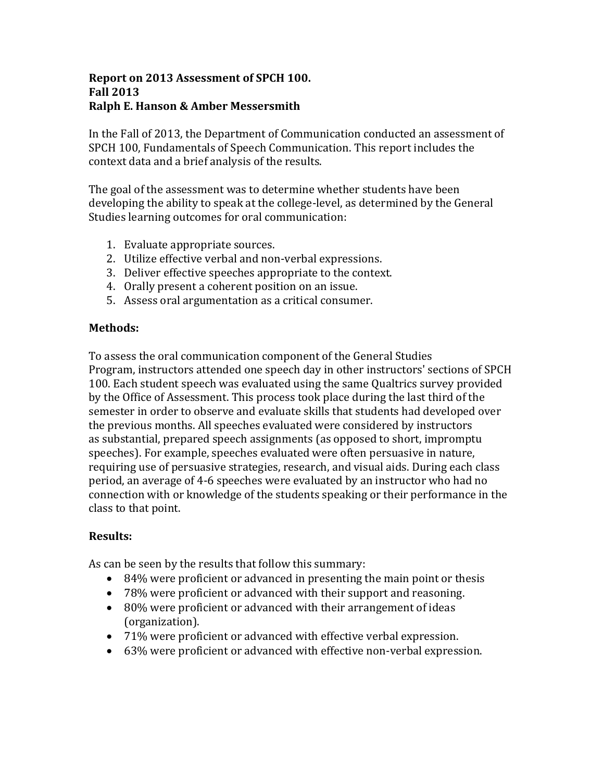#### **Report on 2013 Assessment of SPCH 100. Fall 2013 Ralph E. Hanson & Amber Messersmith**

In the Fall of 2013, the Department of Communication conducted an assessment of SPCH 100, Fundamentals of Speech Communication. This report includes the context data and a brief analysis of the results.

The goal of the assessment was to determine whether students have been developing the ability to speak at the college-level, as determined by the General Studies learning outcomes for oral communication:

- 1. Evaluate appropriate sources.
- 2. Utilize effective verbal and non-verbal expressions.
- 3. Deliver effective speeches appropriate to the context.
- 4. Orally present a coherent position on an issue.
- 5. Assess oral argumentation as a critical consumer.

## **Methods:**

To assess the oral communication component of the General Studies Program, instructors attended one speech day in other instructors' sections of SPCH 100. Each student speech was evaluated using the same Qualtrics survey provided by the Office of Assessment. This process took place during the last third of the semester in order to observe and evaluate skills that students had developed over the previous months. All speeches evaluated were considered by instructors as substantial, prepared speech assignments (as opposed to short, impromptu speeches). For example, speeches evaluated were often persuasive in nature, requiring use of persuasive strategies, research, and visual aids. During each class period, an average of 4-6 speeches were evaluated by an instructor who had no connection with or knowledge of the students speaking or their performance in the class to that point.

## **Results:**

As can be seen by the results that follow this summary:

- 84% were proficient or advanced in presenting the main point or thesis
- 78% were proficient or advanced with their support and reasoning.
- 80% were proficient or advanced with their arrangement of ideas (organization).
- 71% were proficient or advanced with effective verbal expression.
- 63% were proficient or advanced with effective non-verbal expression.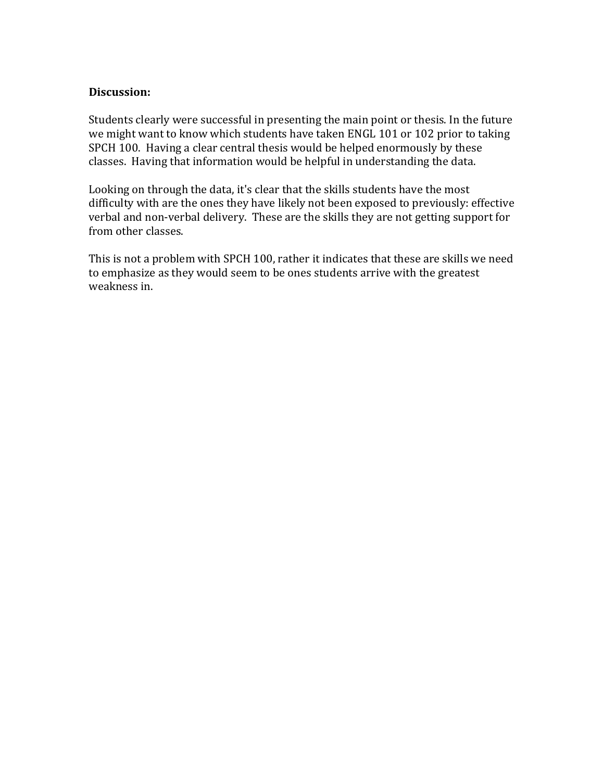## **Discussion:**

Students clearly were successful in presenting the main point or thesis. In the future we might want to know which students have taken ENGL 101 or 102 prior to taking SPCH 100. Having a clear central thesis would be helped enormously by these classes. Having that information would be helpful in understanding the data.

Looking on through the data, it's clear that the skills students have the most difficulty with are the ones they have likely not been exposed to previously: effective verbal and non-verbal delivery. These are the skills they are not getting support for from other classes.

This is not a problem with SPCH 100, rather it indicates that these are skills we need to emphasize as they would seem to be ones students arrive with the greatest weakness in.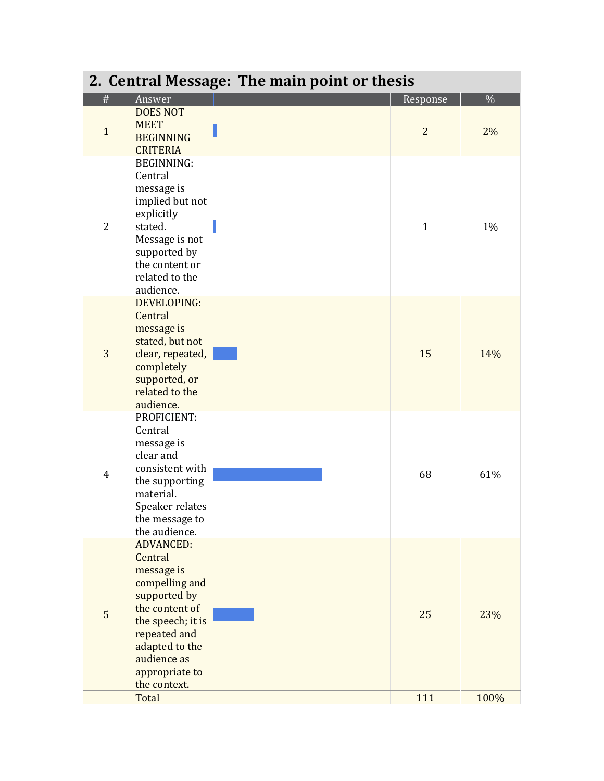| 2. Central Message: The main point or thesis |                                                                                                                                                                                                       |  |                |      |
|----------------------------------------------|-------------------------------------------------------------------------------------------------------------------------------------------------------------------------------------------------------|--|----------------|------|
| $\#$                                         | Answer                                                                                                                                                                                                |  | Response       | $\%$ |
| $\mathbf{1}$                                 | <b>DOES NOT</b><br><b>MEET</b><br><b>BEGINNING</b><br><b>CRITERIA</b>                                                                                                                                 |  | $\overline{2}$ | 2%   |
| 2                                            | <b>BEGINNING:</b><br>Central<br>message is<br>implied but not<br>explicitly<br>stated.<br>Message is not<br>supported by<br>the content or<br>related to the<br>audience.                             |  | $\mathbf{1}$   | 1%   |
| 3                                            | <b>DEVELOPING:</b><br>Central<br>message is<br>stated, but not<br>clear, repeated,<br>completely<br>supported, or<br>related to the<br>audience.                                                      |  | 15             | 14%  |
| $\overline{4}$                               | PROFICIENT:<br>Central<br>message is<br>clear and<br>consistent with<br>the supporting<br>material.<br>Speaker relates<br>the message to<br>the audience.                                             |  | 68             | 61%  |
| 5                                            | <b>ADVANCED:</b><br>Central<br>message is<br>compelling and<br>supported by<br>the content of<br>the speech; it is<br>repeated and<br>adapted to the<br>audience as<br>appropriate to<br>the context. |  | 25             | 23%  |
|                                              | Total                                                                                                                                                                                                 |  | 111            | 100% |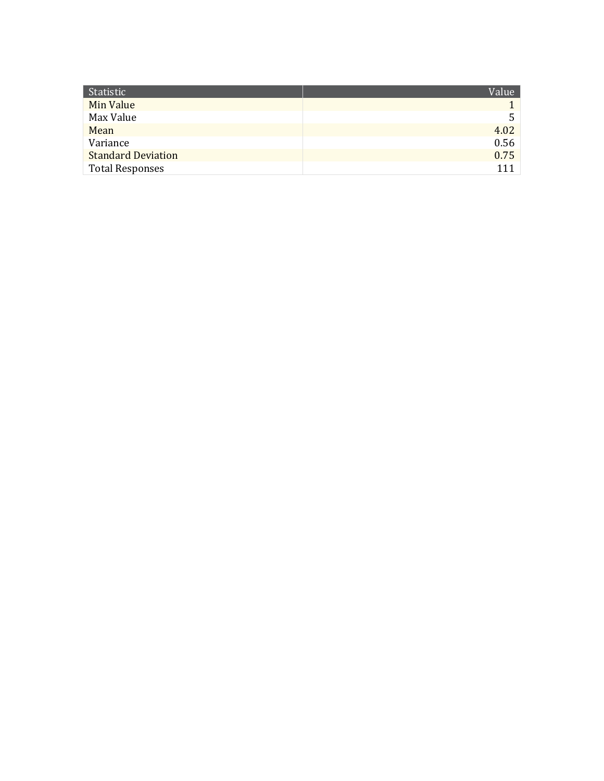| Statistic                 | Value |
|---------------------------|-------|
| Min Value                 |       |
| Max Value                 | 5.    |
| Mean                      | 4.02  |
| Variance                  | 0.56  |
| <b>Standard Deviation</b> | 0.75  |
| <b>Total Responses</b>    | 111   |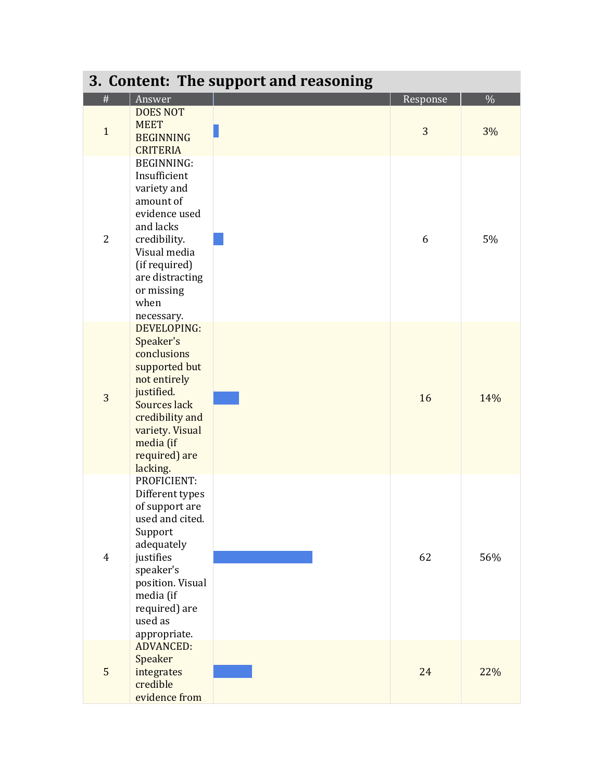| 3. Content: The support and reasoning |                                                                                                                                                                                                     |  |          |      |
|---------------------------------------|-----------------------------------------------------------------------------------------------------------------------------------------------------------------------------------------------------|--|----------|------|
| #                                     | Answer                                                                                                                                                                                              |  | Response | $\%$ |
| $\mathbf{1}$                          | <b>DOES NOT</b><br><b>MEET</b><br><b>BEGINNING</b><br><b>CRITERIA</b>                                                                                                                               |  | 3        | 3%   |
| $\overline{2}$                        | <b>BEGINNING:</b><br>Insufficient<br>variety and<br>amount of<br>evidence used<br>and lacks<br>credibility.<br>Visual media<br>(if required)<br>are distracting<br>or missing<br>when<br>necessary. |  | 6        | 5%   |
| 3                                     | DEVELOPING:<br>Speaker's<br>conclusions<br>supported but<br>not entirely<br>justified.<br>Sources lack<br>credibility and<br>variety. Visual<br>media (if<br>required) are<br>lacking.              |  | 16       | 14%  |
| $\overline{4}$                        | PROFICIENT:<br>Different types<br>of support are<br>used and cited.<br>Support<br>adequately<br>justifies<br>speaker's<br>position. Visual<br>media (if<br>required) are<br>used as<br>appropriate. |  | 62       | 56%  |
| 5                                     | <b>ADVANCED:</b><br>Speaker<br>integrates<br>credible<br>evidence from                                                                                                                              |  | 24       | 22%  |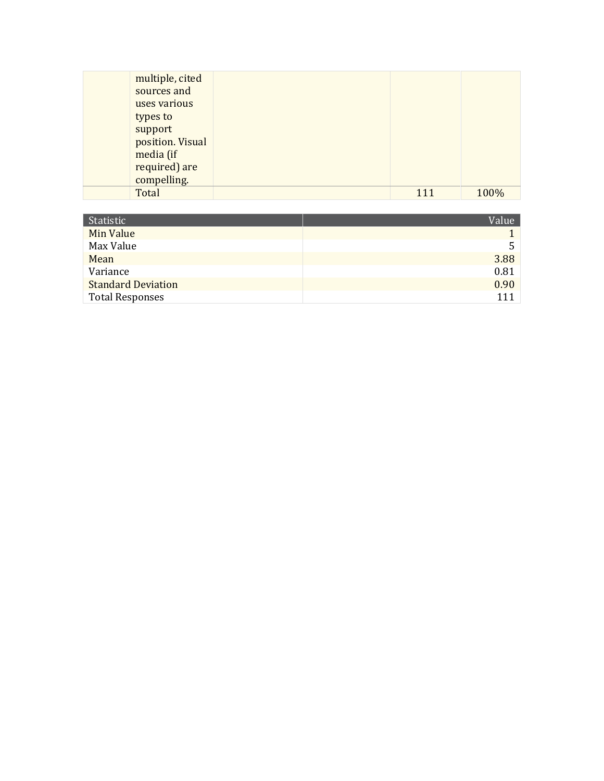| multiple, cited  |     |      |
|------------------|-----|------|
| sources and      |     |      |
| uses various     |     |      |
| types to         |     |      |
| support          |     |      |
| position. Visual |     |      |
| media (if        |     |      |
| required) are    |     |      |
| compelling.      |     |      |
| Total            | 111 | 100% |

| Statistic                 | Value |
|---------------------------|-------|
| Min Value                 |       |
| Max Value                 | 5     |
| Mean                      | 3.88  |
| Variance                  | 0.81  |
| <b>Standard Deviation</b> | 0.90  |
| <b>Total Responses</b>    | 111   |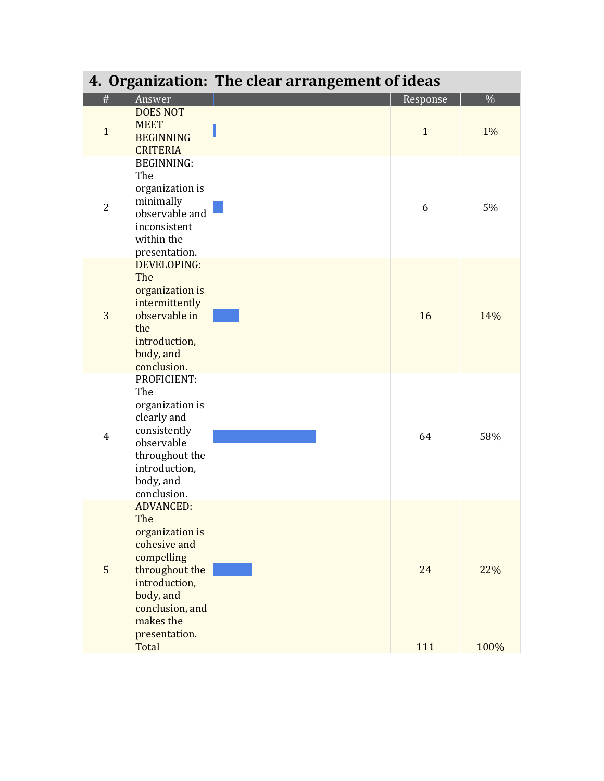|                |                                                                                                                                                                           | 4. Organization: The clear arrangement of ideas |              |      |
|----------------|---------------------------------------------------------------------------------------------------------------------------------------------------------------------------|-------------------------------------------------|--------------|------|
| #              | Answer                                                                                                                                                                    |                                                 | Response     | $\%$ |
| $\mathbf{1}$   | <b>DOES NOT</b><br><b>MEET</b><br><b>BEGINNING</b><br><b>CRITERIA</b>                                                                                                     |                                                 | $\mathbf{1}$ | 1%   |
| $\overline{2}$ | <b>BEGINNING:</b><br>The<br>organization is<br>minimally<br>observable and<br>inconsistent<br>within the<br>presentation.                                                 |                                                 | 6            | 5%   |
| 3              | DEVELOPING:<br>The<br>organization is<br>intermittently<br>observable in<br>the<br>introduction,<br>body, and<br>conclusion.                                              |                                                 | 16           | 14%  |
| $\overline{4}$ | PROFICIENT:<br>The<br>organization is<br>clearly and<br>consistently<br>observable<br>throughout the<br>introduction,<br>body, and<br>conclusion.                         |                                                 | 64           | 58%  |
| 5              | <b>ADVANCED:</b><br>The<br>organization is<br>cohesive and<br>compelling<br>throughout the<br>introduction,<br>body, and<br>conclusion, and<br>makes the<br>presentation. |                                                 | 24           | 22%  |
|                | Total                                                                                                                                                                     |                                                 | 111          | 100% |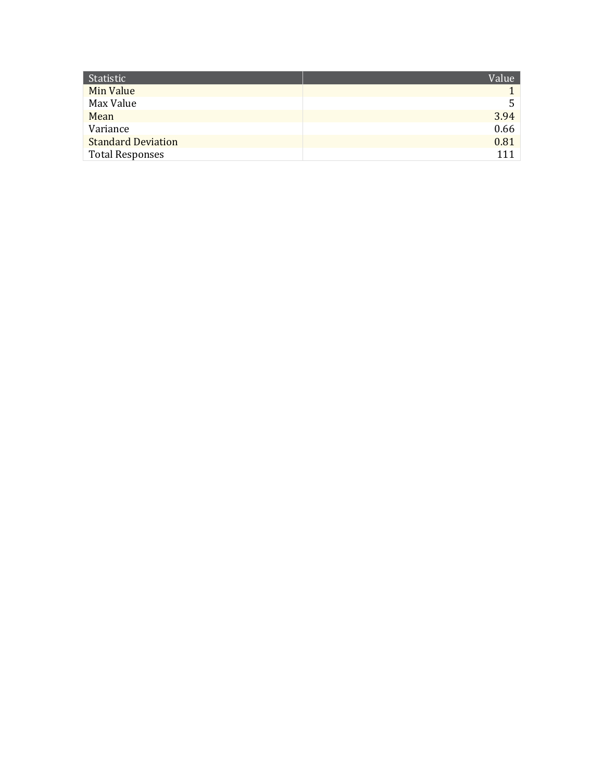| Statistic                 | Value |
|---------------------------|-------|
| Min Value                 |       |
| Max Value                 | 5.    |
| Mean                      | 3.94  |
| Variance                  | 0.66  |
| <b>Standard Deviation</b> | 0.81  |
| <b>Total Responses</b>    | 111   |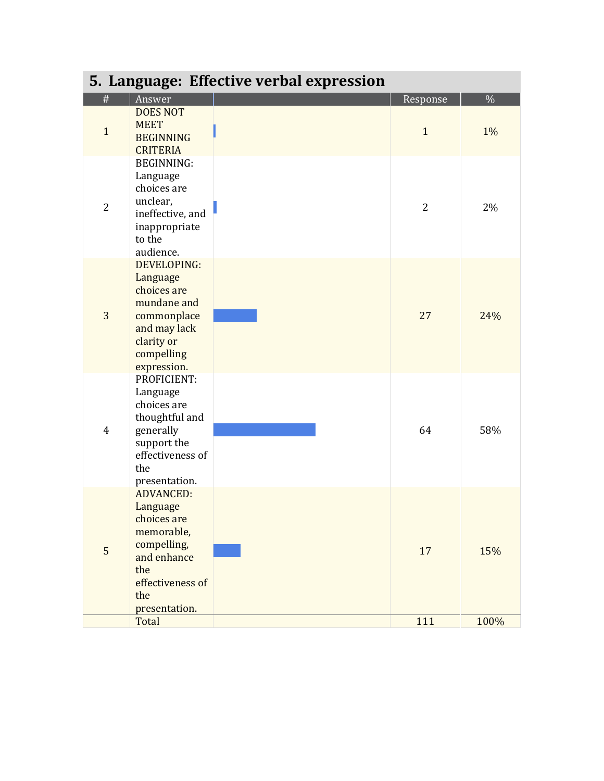| 5. Language: Effective verbal expression |                                                                                                                                            |  |                |      |
|------------------------------------------|--------------------------------------------------------------------------------------------------------------------------------------------|--|----------------|------|
| #                                        | Answer                                                                                                                                     |  | Response       | $\%$ |
| $\mathbf{1}$                             | <b>DOES NOT</b><br><b>MEET</b><br><b>BEGINNING</b><br><b>CRITERIA</b>                                                                      |  | $\mathbf{1}$   | 1%   |
| $\overline{2}$                           | <b>BEGINNING:</b><br>Language<br>choices are<br>unclear,<br>ineffective, and<br>inappropriate<br>to the<br>audience.                       |  | $\overline{2}$ | 2%   |
| 3                                        | DEVELOPING:<br>Language<br>choices are<br>mundane and<br>commonplace<br>and may lack<br>clarity or<br>compelling<br>expression.            |  | 27             | 24%  |
| $\overline{4}$                           | PROFICIENT:<br>Language<br>choices are<br>thoughtful and<br>generally<br>support the<br>effectiveness of<br>the<br>presentation.           |  | 64             | 58%  |
| 5                                        | <b>ADVANCED:</b><br>Language<br>choices are<br>memorable,<br>compelling,<br>and enhance<br>the<br>effectiveness of<br>the<br>presentation. |  | 17             | 15%  |
|                                          | Total                                                                                                                                      |  | 111            | 100% |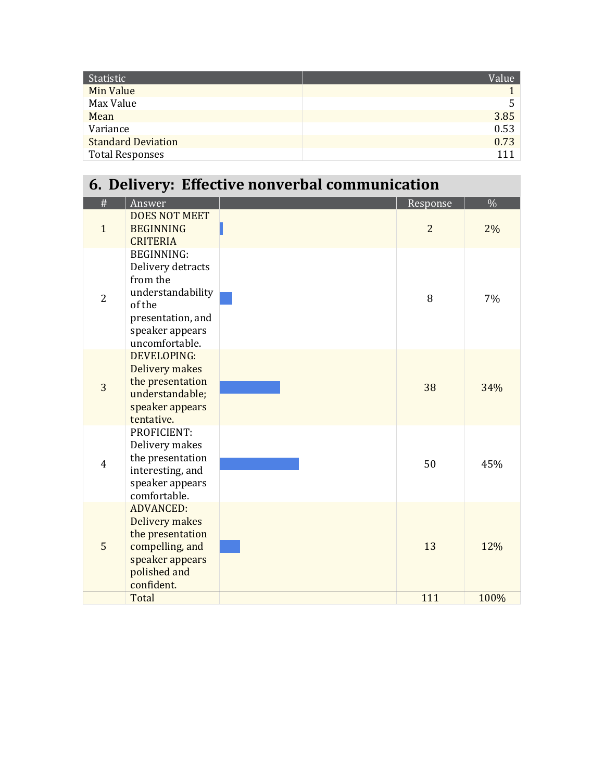| Statistic                 | Value <sup>1</sup> |
|---------------------------|--------------------|
| Min Value                 |                    |
| Max Value                 | 5.                 |
| Mean                      | 3.85               |
| Variance                  | 0.53               |
| <b>Standard Deviation</b> | 0.73               |
| <b>Total Responses</b>    |                    |

# **6. Delivery: Effective nonverbal communication**

| #              | Answer                                                                                                                                      | Response       | $\%$ |
|----------------|---------------------------------------------------------------------------------------------------------------------------------------------|----------------|------|
| $\mathbf{1}$   | <b>DOES NOT MEET</b><br><b>BEGINNING</b><br><b>CRITERIA</b>                                                                                 | $\overline{2}$ | 2%   |
| $\overline{2}$ | <b>BEGINNING:</b><br>Delivery detracts<br>from the<br>understandability<br>of the<br>presentation, and<br>speaker appears<br>uncomfortable. | 8              | 7%   |
| 3              | <b>DEVELOPING:</b><br>Delivery makes<br>the presentation<br>understandable;<br>speaker appears<br>tentative.                                | 38             | 34%  |
| $\overline{4}$ | PROFICIENT:<br>Delivery makes<br>the presentation<br>interesting, and<br>speaker appears<br>comfortable.                                    | 50             | 45%  |
| 5              | <b>ADVANCED:</b><br>Delivery makes<br>the presentation<br>compelling, and<br>speaker appears<br>polished and<br>confident.                  | 13             | 12%  |
|                | Total                                                                                                                                       | 111            | 100% |